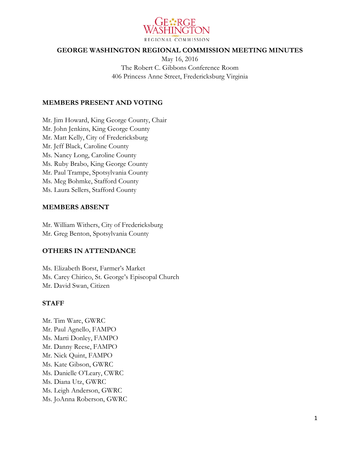

#### **GEORGE WASHINGTON REGIONAL COMMISSION MEETING MINUTES**

May 16, 2016 The Robert C. Gibbons Conference Room 406 Princess Anne Street, Fredericksburg Virginia

#### **MEMBERS PRESENT AND VOTING**

Mr. Jim Howard, King George County, Chair Mr. John Jenkins, King George County Mr. Matt Kelly, City of Fredericksburg Mr. Jeff Black, Caroline County Ms. Nancy Long, Caroline County Ms. Ruby Brabo, King George County Mr. Paul Trampe, Spotsylvania County Ms. Meg Bohmke, Stafford County Ms. Laura Sellers, Stafford County

#### **MEMBERS ABSENT**

Mr. William Withers, City of Fredericksburg Mr. Greg Benton, Spotsylvania County

#### **OTHERS IN ATTENDANCE**

Ms. Elizabeth Borst, Farmer's Market Ms. Carey Chirico, St. George's Episcopal Church Mr. David Swan, Citizen

#### **STAFF**

Mr. Tim Ware, GWRC Mr. Paul Agnello, FAMPO Ms. Marti Donley, FAMPO Mr. Danny Reese, FAMPO Mr. Nick Quint, FAMPO Ms. Kate Gibson, GWRC Ms. Danielle O'Leary, CWRC Ms. Diana Utz, GWRC Ms. Leigh Anderson, GWRC Ms. JoAnna Roberson, GWRC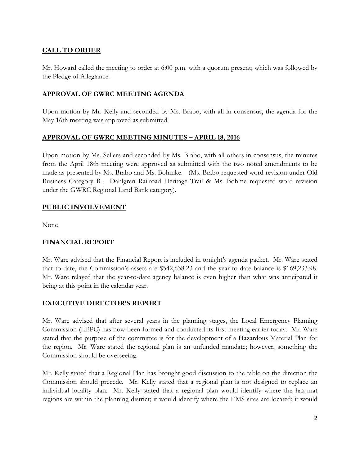# **CALL TO ORDER**

Mr. Howard called the meeting to order at 6:00 p.m. with a quorum present; which was followed by the Pledge of Allegiance.

## **APPROVAL OF GWRC MEETING AGENDA**

Upon motion by Mr. Kelly and seconded by Ms. Brabo, with all in consensus, the agenda for the May 16th meeting was approved as submitted.

### **APPROVAL OF GWRC MEETING MINUTES – APRIL 18, 2016**

Upon motion by Ms. Sellers and seconded by Ms. Brabo, with all others in consensus, the minutes from the April 18th meeting were approved as submitted with the two noted amendments to be made as presented by Ms. Brabo and Ms. Bohmke. (Ms. Brabo requested word revision under Old Business Category B – Dahlgren Railroad Heritage Trail & Ms. Bohme requested word revision under the GWRC Regional Land Bank category).

### **PUBLIC INVOLVEMENT**

None

### **FINANCIAL REPORT**

Mr. Ware advised that the Financial Report is included in tonight's agenda packet. Mr. Ware stated that to date, the Commission's assets are \$542,638.23 and the year-to-date balance is \$169,233.98. Mr. Ware relayed that the year-to-date agency balance is even higher than what was anticipated it being at this point in the calendar year.

### **EXECUTIVE DIRECTOR'S REPORT**

Mr. Ware advised that after several years in the planning stages, the Local Emergency Planning Commission (LEPC) has now been formed and conducted its first meeting earlier today. Mr. Ware stated that the purpose of the committee is for the development of a Hazardous Material Plan for the region. Mr. Ware stated the regional plan is an unfunded mandate; however, something the Commission should be overseeing.

Mr. Kelly stated that a Regional Plan has brought good discussion to the table on the direction the Commission should precede. Mr. Kelly stated that a regional plan is not designed to replace an individual locality plan. Mr. Kelly stated that a regional plan would identify where the haz-mat regions are within the planning district; it would identify where the EMS sites are located; it would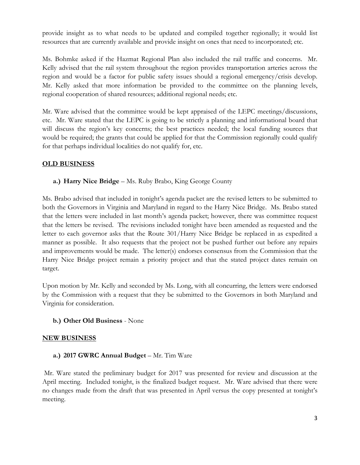provide insight as to what needs to be updated and compiled together regionally; it would list resources that are currently available and provide insight on ones that need to incorporated; etc.

Ms. Bohmke asked if the Hazmat Regional Plan also included the rail traffic and concerns. Mr. Kelly advised that the rail system throughout the region provides transportation arteries across the region and would be a factor for public safety issues should a regional emergency/crisis develop. Mr. Kelly asked that more information be provided to the committee on the planning levels, regional cooperation of shared resources; additional regional needs; etc.

Mr. Ware advised that the committee would be kept appraised of the LEPC meetings/discussions, etc. Mr. Ware stated that the LEPC is going to be strictly a planning and informational board that will discuss the region's key concerns; the best practices needed; the local funding sources that would be required; the grants that could be applied for that the Commission regionally could qualify for that perhaps individual localities do not qualify for, etc.

### **OLD BUSINESS**

**a.) Harry Nice Bridge** – Ms. Ruby Brabo, King George County

Ms. Brabo advised that included in tonight's agenda packet are the revised letters to be submitted to both the Governors in Virginia and Maryland in regard to the Harry Nice Bridge. Ms. Brabo stated that the letters were included in last month's agenda packet; however, there was committee request that the letters be revised. The revisions included tonight have been amended as requested and the letter to each governor asks that the Route 301/Harry Nice Bridge be replaced in as expedited a manner as possible. It also requests that the project not be pushed further out before any repairs and improvements would be made. The letter(s) endorses consensus from the Commission that the Harry Nice Bridge project remain a priority project and that the stated project dates remain on target.

Upon motion by Mr. Kelly and seconded by Ms. Long, with all concurring, the letters were endorsed by the Commission with a request that they be submitted to the Governors in both Maryland and Virginia for consideration.

### **b.) Other Old Business** - None

### **NEW BUSINESS**

### **a.) 2017 GWRC Annual Budget** – Mr. Tim Ware

Mr. Ware stated the preliminary budget for 2017 was presented for review and discussion at the April meeting. Included tonight, is the finalized budget request. Mr. Ware advised that there were no changes made from the draft that was presented in April versus the copy presented at tonight's meeting.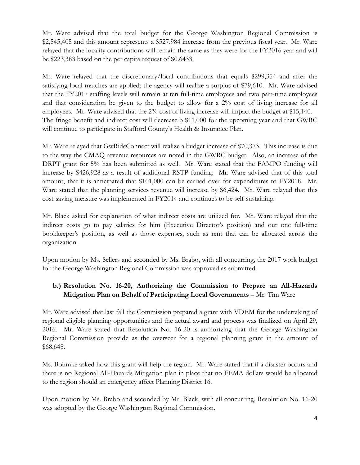Mr. Ware advised that the total budget for the George Washington Regional Commission is \$2,545,405 and this amount represents a \$527,984 increase from the previous fiscal year. Mr. Ware relayed that the locality contributions will remain the same as they were for the FY2016 year and will be \$223,383 based on the per capita request of \$0.6433.

Mr. Ware relayed that the discretionary/local contributions that equals \$299,354 and after the satisfying local matches are applied; the agency will realize a surplus of \$79,610. Mr. Ware advised that the FY2017 staffing levels will remain at ten full-time employees and two part-time employees and that consideration be given to the budget to allow for a 2% cost of living increase for all employees. Mr. Ware advised that the 2% cost of living increase will impact the budget at \$15,140. The fringe benefit and indirect cost will decrease b \$11,000 for the upcoming year and that GWRC will continue to participate in Stafford County's Health & Insurance Plan.

Mr. Ware relayed that GwRideConnect will realize a budget increase of \$70,373. This increase is due to the way the CMAQ revenue resources are noted in the GWRC budget. Also, an increase of the DRPT grant for 5% has been submitted as well. Mr. Ware stated that the FAMPO funding will increase by \$426,928 as a result of additional RSTP funding. Mr. Ware advised that of this total amount, that it is anticipated that \$101,000 can be carried over for expenditures to FY2018. Mr. Ware stated that the planning services revenue will increase by \$6,424. Mr. Ware relayed that this cost-saving measure was implemented in FY2014 and continues to be self-sustaining.

Mr. Black asked for explanation of what indirect costs are utilized for. Mr. Ware relayed that the indirect costs go to pay salaries for him (Executive Director's position) and our one full-time bookkeeper's position, as well as those expenses, such as rent that can be allocated across the organization.

Upon motion by Ms. Sellers and seconded by Ms. Brabo, with all concurring, the 2017 work budget for the George Washington Regional Commission was approved as submitted.

# **b.) Resolution No. 16-20, Authorizing the Commission to Prepare an All-Hazards Mitigation Plan on Behalf of Participating Local Governments** – Mr. Tim Ware

Mr. Ware advised that last fall the Commission prepared a grant with VDEM for the undertaking of regional eligible planning opportunities and the actual award and process was finalized on April 29, 2016. Mr. Ware stated that Resolution No. 16-20 is authorizing that the George Washington Regional Commission provide as the overseer for a regional planning grant in the amount of \$68,648.

Ms. Bohmke asked how this grant will help the region. Mr. Ware stated that if a disaster occurs and there is no Regional All-Hazards Mitigation plan in place that no FEMA dollars would be allocated to the region should an emergency affect Planning District 16.

Upon motion by Ms. Brabo and seconded by Mr. Black, with all concurring, Resolution No. 16-20 was adopted by the George Washington Regional Commission.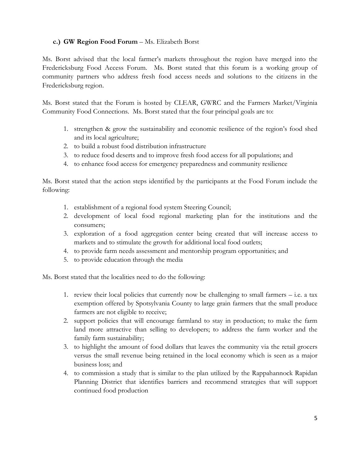### **c.) GW Region Food Forum** – Ms. Elizabeth Borst

Ms. Borst advised that the local farmer's markets throughout the region have merged into the Fredericksburg Food Access Forum. Ms. Borst stated that this forum is a working group of community partners who address fresh food access needs and solutions to the citizens in the Fredericksburg region.

Ms. Borst stated that the Forum is hosted by CLEAR, GWRC and the Farmers Market/Virginia Community Food Connections. Ms. Borst stated that the four principal goals are to:

- 1. strengthen & grow the sustainability and economic resilience of the region's food shed and its local agriculture;
- 2. to build a robust food distribution infrastructure
- 3. to reduce food deserts and to improve fresh food access for all populations; and
- 4. to enhance food access for emergency preparedness and community resilience

Ms. Borst stated that the action steps identified by the participants at the Food Forum include the following:

- 1. establishment of a regional food system Steering Council;
- 2. development of local food regional marketing plan for the institutions and the consumers;
- 3. exploration of a food aggregation center being created that will increase access to markets and to stimulate the growth for additional local food outlets;
- 4. to provide farm needs assessment and mentorship program opportunities; and
- 5. to provide education through the media

Ms. Borst stated that the localities need to do the following:

- 1. review their local policies that currently now be challenging to small farmers  $-$  i.e. a tax exemption offered by Spotsylvania County to large grain farmers that the small produce farmers are not eligible to receive;
- 2. support policies that will encourage farmland to stay in production; to make the farm land more attractive than selling to developers; to address the farm worker and the family farm sustainability;
- 3. to highlight the amount of food dollars that leaves the community via the retail grocers versus the small revenue being retained in the local economy which is seen as a major business loss; and
- 4. to commission a study that is similar to the plan utilized by the Rappahannock Rapidan Planning District that identifies barriers and recommend strategies that will support continued food production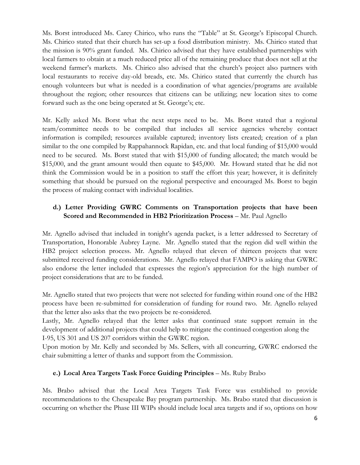Ms. Borst introduced Ms. Carey Chirico, who runs the "Table" at St. George's Episcopal Church. Ms. Chirico stated that their church has set-up a food distribution ministry. Ms. Chirico stated that the mission is 90% grant funded. Ms. Chirico advised that they have established partnerships with local farmers to obtain at a much reduced price all of the remaining produce that does not sell at the weekend farmer's markets. Ms. Chirico also advised that the church's project also partners with local restaurants to receive day-old breads, etc. Ms. Chirico stated that currently the church has enough volunteers but what is needed is a coordination of what agencies/programs are available throughout the region; other resources that citizens can be utilizing; new location sites to come forward such as the one being operated at St. George's; etc.

Mr. Kelly asked Ms. Borst what the next steps need to be. Ms. Borst stated that a regional team/committee needs to be compiled that includes all service agencies whereby contact information is compiled; resources available captured; inventory lists created; creation of a plan similar to the one compiled by Rappahannock Rapidan, etc. and that local funding of \$15,000 would need to be secured. Ms. Borst stated that with \$15,000 of funding allocated; the match would be \$15,000, and the grant amount would then equate to \$45,000. Mr. Howard stated that he did not think the Commission would be in a position to staff the effort this year; however, it is definitely something that should be pursued on the regional perspective and encouraged Ms. Borst to begin the process of making contact with individual localities.

# **d.) Letter Providing GWRC Comments on Transportation projects that have been Scored and Recommended in HB2 Prioritization Process** – Mr. Paul Agnello

Mr. Agnello advised that included in tonight's agenda packet, is a letter addressed to Secretary of Transportation, Honorable Aubrey Layne. Mr. Agnello stated that the region did well within the HB2 project selection process. Mr. Agnello relayed that eleven of thirteen projects that were submitted received funding considerations. Mr. Agnello relayed that FAMPO is asking that GWRC also endorse the letter included that expresses the region's appreciation for the high number of project considerations that are to be funded.

Mr. Agnello stated that two projects that were not selected for funding within round one of the HB2 process have been re-submitted for consideration of funding for round two. Mr. Agnello relayed that the letter also asks that the two projects be re-considered.

Lastly, Mr. Agnello relayed that the letter asks that continued state support remain in the development of additional projects that could help to mitigate the continued congestion along the I-95, US 301 and US 207 corridors within the GWRC region.

Upon motion by Mr. Kelly and seconded by Ms. Sellers, with all concurring, GWRC endorsed the chair submitting a letter of thanks and support from the Commission.

### **e.)** Local Area Targets Task Force Guiding Principles – Ms. Ruby Brabo

Ms. Brabo advised that the Local Area Targets Task Force was established to provide recommendations to the Chesapeake Bay program partnership. Ms. Brabo stated that discussion is occurring on whether the Phase III WIPs should include local area targets and if so, options on how